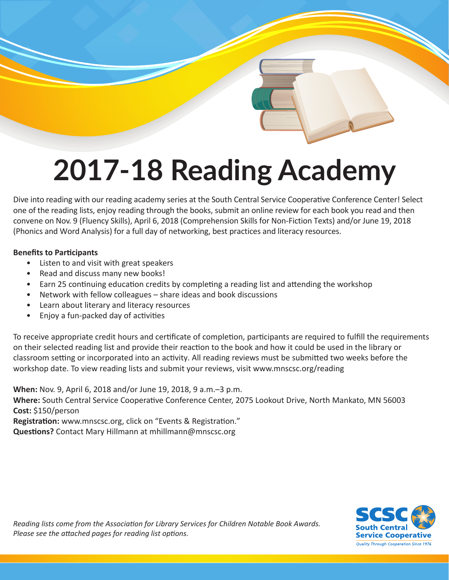# **2017-18 Reading Academy**

Dive into reading with our reading academy series at the South Central Service Cooperative Conference Center! Select one of the reading lists, enjoy reading through the books, submit an online review for each book you read and then convene on Nov. 9 (Fluency Skills), April 6, 2018 (Comprehension Skills for Non-Fiction Texts) and/or June 19, 2018 (Phonics and Word Analysis) for a full day of networking, best practices and literacy resources.

## **Benefits to Participants**

- Listen to and visit with great speakers
- Read and discuss many new books!
- Earn 25 continuing education credits by completing a reading list and attending the workshop
- Network with fellow colleagues share ideas and book discussions
- Learn about literary and literacy resources
- Enjoy a fun-packed day of activities

To receive appropriate credit hours and certificate of completion, participants are required to fulfill the requirements on their selected reading list and provide their reaction to the book and how it could be used in the library or classroom setting or incorporated into an activity. All reading reviews must be submitted two weeks before the workshop date. To view reading lists and submit your reviews, visit www.mnscsc.org/reading

**When:** Nov. 9, April 6, 2018 and/or June 19, 2018, 9 a.m.–3 p.m. **Where:** South Central Service Cooperative Conference Center, 2075 Lookout Drive, North Mankato, MN 56003 **Cost:** \$150/person **Registration:** www.mnscsc.org, click on "Events & Registration." **Questions?** Contact Mary Hillmann at mhillmann@mnscsc.org

> vice Cooperative **Quality Through Cooperation Since 1976**

*Reading lists come from the Association for Library Services for Children Notable Book Awards. Please see the attached pages for reading list options.*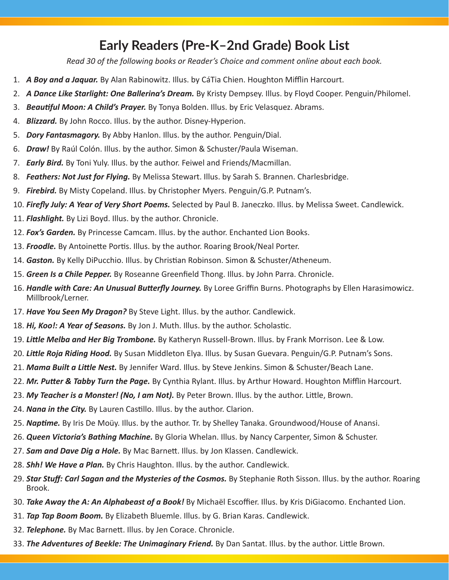## **Early Readers (Pre-K–2nd Grade) Book List**

*Read 30 of the following books or Reader's Choice and comment online about each book.*

- 1. *A Boy and a Jaquar.* By Alan Rabinowitz. Illus. by CáTia Chien. Houghton Mifflin Harcourt.
- 2. *A Dance Like Starlight: One Ballerina's Dream.* By Kristy Dempsey. Illus. by Floyd Cooper. Penguin/Philomel.
- 3. *Beautiful Moon: A Child's Prayer.* By Tonya Bolden. Illus. by Eric Velasquez. Abrams.
- 4. *Blizzard.* By John Rocco. Illus. by the author. Disney-Hyperion.
- 5. *Dory Fantasmagory.* By Abby Hanlon. Illus. by the author. Penguin/Dial.
- 6. *Draw!* By Raúl Colón. Illus. by the author. Simon & Schuster/Paula Wiseman.
- 7. *Early Bird.* By Toni Yuly. Illus. by the author. Feiwel and Friends/Macmillan.
- 8. *Feathers: Not Just for Flying.* By Melissa Stewart. Illus. by Sarah S. Brannen. Charlesbridge.
- 9. *Firebird.* By Misty Copeland. Illus. by Christopher Myers. Penguin/G.P. Putnam's.
- 10. *Firefly July: A Year of Very Short Poems.* Selected by Paul B. Janeczko. Illus. by Melissa Sweet. Candlewick.
- 11. *Flashlight.* By Lizi Boyd. Illus. by the author. Chronicle.
- 12. *Fox's Garden.* By Princesse Camcam. Illus. by the author. Enchanted Lion Books.
- 13. *Froodle.* By Antoinette Portis. Illus. by the author. Roaring Brook/Neal Porter.
- 14. *Gaston.* By Kelly DiPucchio. Illus. by Christian Robinson. Simon & Schuster/Atheneum.
- 15. *Green Is a Chile Pepper.* By Roseanne Greenfield Thong. Illus. by John Parra. Chronicle.
- 16. *Handle with Care: An Unusual Butterfly Journey.* By Loree Griffin Burns. Photographs by Ellen Harasimowicz. Millbrook/Lerner.
- 17. *Have You Seen My Dragon?* By Steve Light. Illus. by the author. Candlewick.
- 18. *Hi, Koo!: A Year of Seasons.* By Jon J. Muth. Illus. by the author. Scholastic.
- 19. *Little Melba and Her Big Trombone.* By Katheryn Russell-Brown. Illus. by Frank Morrison. Lee & Low.
- 20. *Little Roja Riding Hood.* By Susan Middleton Elya. Illus. by Susan Guevara. Penguin/G.P. Putnam's Sons.
- 21. *Mama Built a Little Nest.* By Jennifer Ward. Illus. by Steve Jenkins. Simon & Schuster/Beach Lane.
- 22. *Mr. Putter & Tabby Turn the Page.* By Cynthia Rylant. Illus. by Arthur Howard. Houghton Mifflin Harcourt.
- 23. *My Teacher is a Monster! (No, I am Not).* By Peter Brown. Illus. by the author. Little, Brown.
- 24. *Nana in the City.* By Lauren Castillo. Illus. by the author. Clarion.
- 25. *Naptime.* By Iris De Moüy. Illus. by the author. Tr. by Shelley Tanaka. Groundwood/House of Anansi.
- 26. *Queen Victoria's Bathing Machine.* By Gloria Whelan. Illus. by Nancy Carpenter, Simon & Schuster.
- 27. *Sam and Dave Dig a Hole.* By Mac Barnett. Illus. by Jon Klassen. Candlewick.
- 28. *Shh! We Have a Plan.* By Chris Haughton. Illus. by the author. Candlewick.
- 29. **Star Stuff: Carl Sagan and the Mysteries of the Cosmos.** By Stephanie Roth Sisson. Illus. by the author. Roaring Brook.
- 30. *Take Away the A: An Alphabeast of a Book!* By Michaël Escoffier. Illus. by Kris DiGiacomo. Enchanted Lion.
- 31. *Tap Tap Boom Boom.* By Elizabeth Bluemle. Illus. by G. Brian Karas. Candlewick.
- 32. *Telephone.* By Mac Barnett. Illus. by Jen Corace. Chronicle.
- 33. *The Adventures of Beekle: The Unimaginary Friend.* By Dan Santat. Illus. by the author. Little Brown.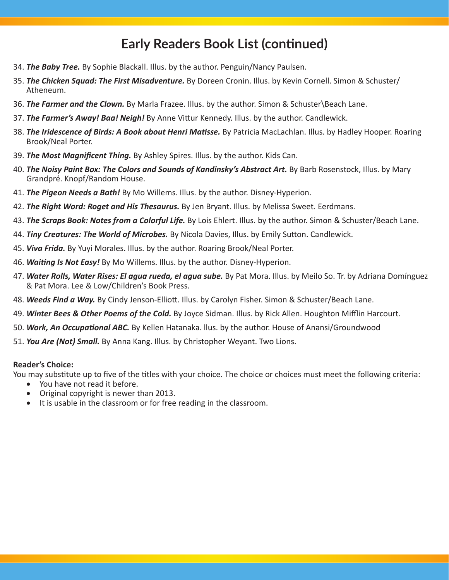## **Early Readers Book List (continued)**

- 34. *The Baby Tree.* By Sophie Blackall. Illus. by the author. Penguin/Nancy Paulsen.
- 35. *The Chicken Squad: The First Misadventure.* By Doreen Cronin. Illus. by Kevin Cornell. Simon & Schuster/ Atheneum.
- 36. *The Farmer and the Clown.* By Marla Frazee. Illus. by the author. Simon & Schuster\Beach Lane.
- 37. *The Farmer's Away! Baa! Neigh!* By Anne Vittur Kennedy. Illus. by the author. Candlewick.
- 38. *The Iridescence of Birds: A Book about Henri Matisse.* By Patricia MacLachlan. Illus. by Hadley Hooper. Roaring Brook/Neal Porter.
- 39. *The Most Magnificent Thing.* By Ashley Spires. Illus. by the author. Kids Can.
- 40. *The Noisy Paint Box: The Colors and Sounds of Kandinsky's Abstract Art.* By Barb Rosenstock, Illus. by Mary Grandpré. Knopf/Random House.
- 41. *The Pigeon Needs a Bath!* By Mo Willems. Illus. by the author. Disney-Hyperion.
- 42. *The Right Word: Roget and His Thesaurus.* By Jen Bryant. Illus. by Melissa Sweet. Eerdmans.
- 43. *The Scraps Book: Notes from a Colorful Life.* By Lois Ehlert. Illus. by the author. Simon & Schuster/Beach Lane.
- 44. *Tiny Creatures: The World of Microbes.* By Nicola Davies, Illus. by Emily Sutton. Candlewick.
- 45. *Viva Frida.* By Yuyi Morales. Illus. by the author. Roaring Brook/Neal Porter.
- 46. *Waiting Is Not Easy!* By Mo Willems. Illus. by the author. Disney-Hyperion.
- 47. *Water Rolls, Water Rises: El agua rueda, el agua sube.* By Pat Mora. Illus. by Meilo So. Tr. by Adriana Domínguez & Pat Mora. Lee & Low/Children's Book Press.
- 48. *Weeds Find a Way.* By Cindy Jenson-Elliott. Illus. by Carolyn Fisher. Simon & Schuster/Beach Lane.
- 49. *Winter Bees & Other Poems of the Cold.* By Joyce Sidman. Illus. by Rick Allen. Houghton Mifflin Harcourt.
- 50. *Work, An Occupational ABC.* By Kellen Hatanaka. llus. by the author. House of Anansi/Groundwood
- 51. *You Are (Not) Small.* By Anna Kang. Illus. by Christopher Weyant. Two Lions.

#### **Reader's Choice:**

You may substitute up to five of the titles with your choice. The choice or choices must meet the following criteria:

- You have not read it before.
- Original copyright is newer than 2013.
- It is usable in the classroom or for free reading in the classroom.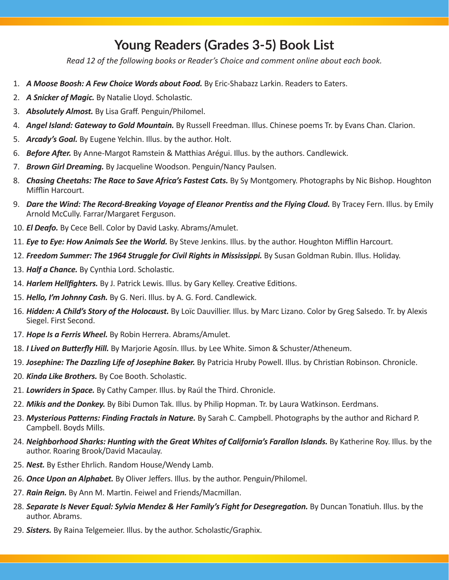## **Young Readers (Grades 3-5) Book List**

*Read 12 of the following books or Reader's Choice and comment online about each book.*

- 1. *A Moose Boosh: A Few Choice Words about Food.* By Eric-Shabazz Larkin. Readers to Eaters.
- 2. *A Snicker of Magic.* By Natalie Lloyd. Scholastic.
- 3. *Absolutely Almost.* By Lisa Graff. Penguin/Philomel.
- 4. *Angel Island: Gateway to Gold Mountain.* By Russell Freedman. Illus. Chinese poems Tr. by Evans Chan. Clarion.
- 5. *Arcady's Goal.* By Eugene Yelchin. Illus. by the author. Holt.
- 6. *Before After.* By Anne-Margot Ramstein & Matthias Arégui. Illus. by the authors. Candlewick.
- 7. *Brown Girl Dreaming.* By Jacqueline Woodson. Penguin/Nancy Paulsen.
- 8. *Chasing Cheetahs: The Race to Save Africa's Fastest Cats.* By Sy Montgomery. Photographs by Nic Bishop. Houghton Mifflin Harcourt.
- 9. *Dare the Wind: The Record-Breaking Voyage of Eleanor Prentiss and the Flying Cloud.* By Tracey Fern. Illus. by Emily Arnold McCully. Farrar/Margaret Ferguson.
- 10. *El Deafo.* By Cece Bell. Color by David Lasky. Abrams/Amulet.
- 11. *Eye to Eye: How Animals See the World.* By Steve Jenkins. Illus. by the author. Houghton Mifflin Harcourt.
- 12. *Freedom Summer: The 1964 Struggle for Civil Rights in Mississippi.* By Susan Goldman Rubin. Illus. Holiday.
- 13. *Half a Chance.* By Cynthia Lord. Scholastic.
- 14. *Harlem Hellfighters.* By J. Patrick Lewis. Illus. by Gary Kelley. Creative Editions.
- 15. *Hello, I'm Johnny Cash.* By G. Neri. Illus. by A. G. Ford. Candlewick.
- 16. *Hidden: A Child's Story of the Holocaust.* By Loïc Dauvillier. Illus. by Marc Lizano. Color by Greg Salsedo. Tr. by Alexis Siegel. First Second.
- 17. *Hope Is a Ferris Wheel.* By Robin Herrera. Abrams/Amulet.
- 18. *I Lived on Butterfly Hill.* By Marjorie Agosín. Illus. by Lee White. Simon & Schuster/Atheneum.
- 19. *Josephine: The Dazzling Life of Josephine Baker.* By Patricia Hruby Powell. Illus. by Christian Robinson. Chronicle.
- 20. *Kinda Like Brothers.* By Coe Booth. Scholastic.
- 21. *Lowriders in Space.* By Cathy Camper. Illus. by Raúl the Third. Chronicle.
- 22. *Mikis and the Donkey.* By Bibi Dumon Tak. Illus. by Philip Hopman. Tr. by Laura Watkinson. Eerdmans.
- 23. *Mysterious Patterns: Finding Fractals in Nature.* By Sarah C. Campbell. Photographs by the author and Richard P. Campbell. Boyds Mills.
- 24. *Neighborhood Sharks: Hunting with the Great Whites of California's Farallon Islands*. By Katherine Roy. Illus. by the author. Roaring Brook/David Macaulay.
- 25. *Nest.* By Esther Ehrlich. Random House/Wendy Lamb.
- 26. *Once Upon an Alphabet.* By Oliver Jeffers. Illus. by the author. Penguin/Philomel.
- 27. *Rain Reign.* By Ann M. Martin. Feiwel and Friends/Macmillan.
- 28. Separate Is Never Equal: Sylvia Mendez & Her Family's Fight for Desegregation. By Duncan Tonatiuh. Illus. by the author. Abrams.
- 29. *Sisters.* By Raina Telgemeier. Illus. by the author. Scholastic/Graphix.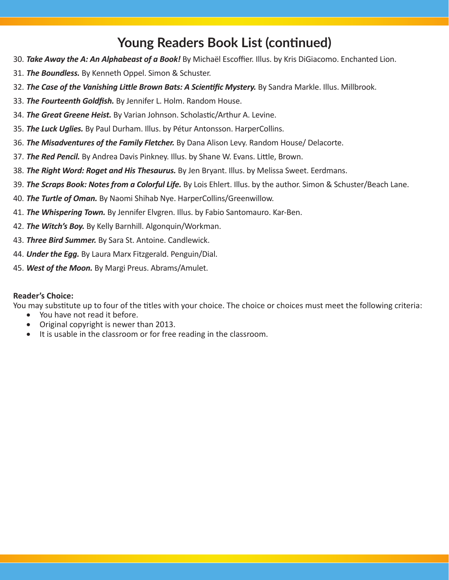## **Young Readers Book List (continued)**

- 30. *Take Away the A: An Alphabeast of a Book!* By Michaël Escoffier. Illus. by Kris DiGiacomo. Enchanted Lion.
- 31. *The Boundless.* By Kenneth Oppel. Simon & Schuster.
- 32. The Case of the Vanishing Little Brown Bats: A Scientific Mystery. By Sandra Markle. Illus. Millbrook.
- 33. *The Fourteenth Goldfish.* By Jennifer L. Holm. Random House.
- 34. *The Great Greene Heist.* By Varian Johnson. Scholastic/Arthur A. Levine.
- 35. *The Luck Uglies.* By Paul Durham. Illus. by Pétur Antonsson. HarperCollins.
- 36. *The Misadventures of the Family Fletcher.* By Dana Alison Levy. Random House/ Delacorte.
- 37. *The Red Pencil.* By Andrea Davis Pinkney. Illus. by Shane W. Evans. Little, Brown.
- 38. *The Right Word: Roget and His Thesaurus.* By Jen Bryant. Illus. by Melissa Sweet. Eerdmans.
- 39. *The Scraps Book: Notes from a Colorful Life.* By Lois Ehlert. Illus. by the author. Simon & Schuster/Beach Lane.
- 40. *The Turtle of Oman.* By Naomi Shihab Nye. HarperCollins/Greenwillow.
- 41. *The Whispering Town.* By Jennifer Elvgren. Illus. by Fabio Santomauro. Kar-Ben.
- 42. *The Witch's Boy.* By Kelly Barnhill. Algonquin/Workman.
- 43. *Three Bird Summer.* By Sara St. Antoine. Candlewick.
- 44. *Under the Egg.* By Laura Marx Fitzgerald. Penguin/Dial.
- 45. *West of the Moon.* By Margi Preus. Abrams/Amulet.

#### **Reader's Choice:**

You may substitute up to four of the titles with your choice. The choice or choices must meet the following criteria:

- You have not read it before.
- Original copyright is newer than 2013.
- • It is usable in the classroom or for free reading in the classroom.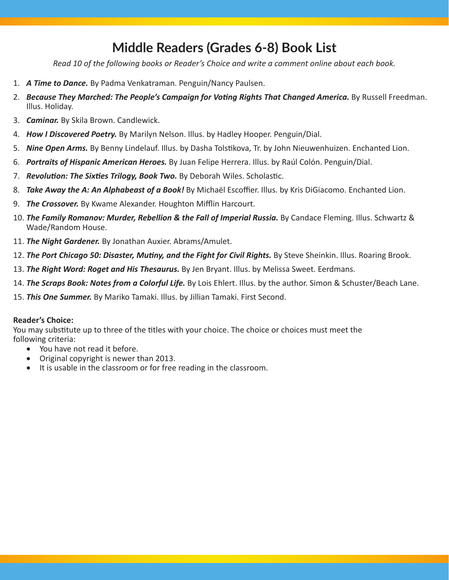## **Middle Readers (Grades 6-8) Book List**

*Read 10 of the following books or Reader's Choice and write a comment online about each book.*

- 1. *A Time to Dance.* By Padma Venkatraman. Penguin/Nancy Paulsen.
- 2. *Because They Marched: The People's Campaign for Voting Rights That Changed America.* By Russell Freedman. Illus. Holiday.
- 3. *Caminar.* By Skila Brown. Candlewick.
- 4. *How I Discovered Poetry.* By Marilyn Nelson. Illus. by Hadley Hooper. Penguin/Dial.
- 5. *Nine Open Arms.* By Benny Lindelauf. Illus. by Dasha Tolstikova, Tr. by John Nieuwenhuizen. Enchanted Lion.
- 6. *Portraits of Hispanic American Heroes.* By Juan Felipe Herrera. Illus. by Raúl Colón. Penguin/Dial.
- 7. *Revolution: The Sixties Trilogy, Book Two.* By Deborah Wiles. Scholastic.
- 8. *Take Away the A: An Alphabeast of a Book!* By Michaël Escoffier. Illus. by Kris DiGiacomo. Enchanted Lion.
- 9. *The Crossover.* By Kwame Alexander. Houghton Mifflin Harcourt.
- 10. **The Family Romanov: Murder, Rebellion & the Fall of Imperial Russia.** By Candace Fleming. Illus. Schwartz & Wade/Random House.
- 11. *The Night Gardener.* By Jonathan Auxier. Abrams/Amulet.
- 12. **The Port Chicago 50: Disaster, Mutiny, and the Fight for Civil Rights.** By Steve Sheinkin. Illus. Roaring Brook.
- 13. *The Right Word: Roget and His Thesaurus.* By Jen Bryant. Illus. by Melissa Sweet. Eerdmans.
- 14. *The Scraps Book: Notes from a Colorful Life.* By Lois Ehlert. Illus. by the author. Simon & Schuster/Beach Lane.
- 15. *This One Summer.* By Mariko Tamaki. Illus. by Jillian Tamaki. First Second.

#### **Reader's Choice:**

You may substitute up to three of the titles with your choice. The choice or choices must meet the following criteria:

- You have not read it before.
- • Original copyright is newer than 2013.
- It is usable in the classroom or for free reading in the classroom.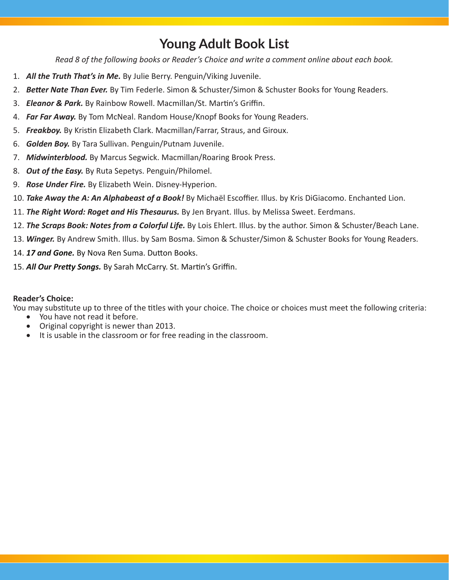# **Young Adult Book List**

*Read 8 of the following books or Reader's Choice and write a comment online about each book.*

- 1. *All the Truth That's in Me.* By Julie Berry. Penguin/Viking Juvenile.
- 2. *Better Nate Than Ever.* By Tim Federle. Simon & Schuster/Simon & Schuster Books for Young Readers.
- 3. *Eleanor & Park.* By Rainbow Rowell. Macmillan/St. Martin's Griffin.
- 4. *Far Far Away.* By Tom McNeal. Random House/Knopf Books for Young Readers.
- 5. *Freakboy.* By Kristin Elizabeth Clark. Macmillan/Farrar, Straus, and Giroux.
- 6. *Golden Boy.* By Tara Sullivan. Penguin/Putnam Juvenile.
- 7. *Midwinterblood.* By Marcus Segwick. Macmillan/Roaring Brook Press.
- 8. *Out of the Easy.* By Ruta Sepetys. Penguin/Philomel.
- 9. *Rose Under Fire.* By Elizabeth Wein. Disney-Hyperion.
- 10. *Take Away the A: An Alphabeast of a Book!* By Michaël Escoffier. Illus. by Kris DiGiacomo. Enchanted Lion.
- 11. *The Right Word: Roget and His Thesaurus.* By Jen Bryant. Illus. by Melissa Sweet. Eerdmans.
- 12. *The Scraps Book: Notes from a Colorful Life.* By Lois Ehlert. Illus. by the author. Simon & Schuster/Beach Lane.
- 13. *Winger.* By Andrew Smith. Illus. by Sam Bosma. Simon & Schuster/Simon & Schuster Books for Young Readers.
- 14. *17 and Gone.* By Nova Ren Suma. Dutton Books.
- 15. *All Our Pretty Songs.* By Sarah McCarry. St. Martin's Griffin.

## **Reader's Choice:**

You may substitute up to three of the titles with your choice. The choice or choices must meet the following criteria:

- You have not read it before.
- Original copyright is newer than 2013.
- It is usable in the classroom or for free reading in the classroom.